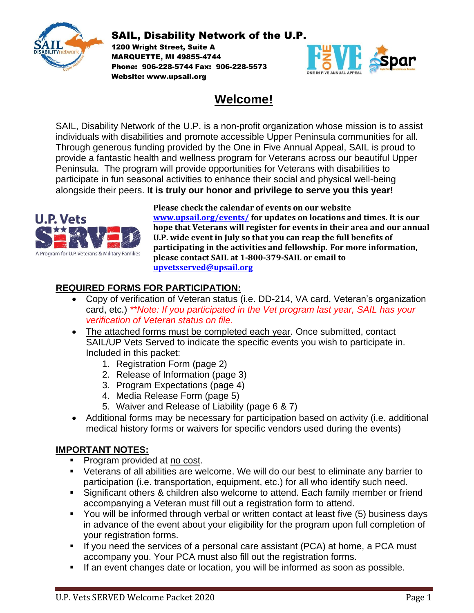

1200 Wright Street, Suite A MARQUETTE, MI 49855-4744 Phone: 906-228-5744 Fax: 906-228-5573 Website: www.upsail.org



# **Welcome!**

SAIL, Disability Network of the U.P. is a non-profit organization whose mission is to assist individuals with disabilities and promote accessible Upper Peninsula communities for all. Through generous funding provided by the One in Five Annual Appeal, SAIL is proud to provide a fantastic health and wellness program for Veterans across our beautiful Upper Peninsula. The program will provide opportunities for Veterans with disabilities to participate in fun seasonal activities to enhance their social and physical well-being alongside their peers. **It is truly our honor and privilege to serve you this year!**



**Please check the calendar of events on our website [www.upsail.org/](http://www.upsail.org/)events/ for updates on locations and times. It is our hope that Veterans will register for events in their area and our annual U.P. wide event in July so that you can reap the full benefits of participating in the activities and fellowship. For more information, please contact SAIL at 1-800-379-SAIL or email to [upvetsserved@upsail.org](mailto:upvetsserved@upsail.org)**

### **REQUIRED FORMS FOR PARTICIPATION:**

- Copy of verification of Veteran status (i.e. DD-214, VA card, Veteran's organization card, etc.) *\*\*Note: If you participated in the Vet program last year, SAIL has your verification of Veteran status on file.*
- The attached forms must be completed each year. Once submitted, contact SAIL/UP Vets Served to indicate the specific events you wish to participate in. Included in this packet:
	- 1. Registration Form (page 2)
	- 2. Release of Information (page 3)
	- 3. Program Expectations (page 4)
	- 4. Media Release Form (page 5)
	- 5. Waiver and Release of Liability (page 6 & 7)
- Additional forms may be necessary for participation based on activity (i.e. additional medical history forms or waivers for specific vendors used during the events)

#### **IMPORTANT NOTES:**

- Program provided at no cost.
- Veterans of all abilities are welcome. We will do our best to eliminate any barrier to participation (i.e. transportation, equipment, etc.) for all who identify such need.
- Significant others & children also welcome to attend. Each family member or friend accompanying a Veteran must fill out a registration form to attend.
- You will be informed through verbal or written contact at least five (5) business days in advance of the event about your eligibility for the program upon full completion of your registration forms.
- **EXT** If you need the services of a personal care assistant (PCA) at home, a PCA must accompany you. Your PCA must also fill out the registration forms.
- **EXT** If an event changes date or location, you will be informed as soon as possible.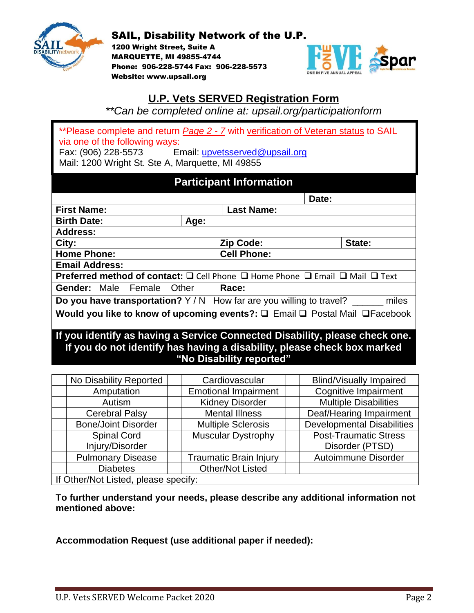

1200 Wright Street, Suite A MARQUETTE, MI 49855-4744 Phone: 906-228-5744 Fax: 906-228-5573 Website: www.upsail.org



### **U.P. Vets SERVED Registration Form**

*\*\*Can be completed online at: upsail.org/participationform*

\*\*Please complete and return *Page 2 - 7* with verification of Veteran status to SAIL via one of the following ways: Fax: (906) 228-5573 Email: [upvetsserved@upsail.org](mailto:upvetsserved@upsail.com) Mail: 1200 Wright St. Ste A, Marquette, MI 49855

### **Participant Information**

|                                                                                                              |      |                   | Date: |        |
|--------------------------------------------------------------------------------------------------------------|------|-------------------|-------|--------|
| <b>First Name:</b>                                                                                           |      | <b>Last Name:</b> |       |        |
| <b>Birth Date:</b>                                                                                           | Age: |                   |       |        |
| <b>Address:</b>                                                                                              |      |                   |       |        |
| City:                                                                                                        |      | <b>Zip Code:</b>  |       | State: |
| <b>Cell Phone:</b><br><b>Home Phone:</b>                                                                     |      |                   |       |        |
| <b>Email Address:</b>                                                                                        |      |                   |       |        |
| <b>Preferred method of contact:</b> $\Box$ Cell Phone $\Box$ Home Phone $\Box$ Email $\Box$ Mail $\Box$ Text |      |                   |       |        |
| <b>Gender:</b> Male Female Other                                                                             |      | Race:             |       |        |
| Do you have transportation? Y/N How far are you willing to travel?<br>miles                                  |      |                   |       |        |
| Would you like to know of upcoming events?: Q Email Q Postal Mail Q Facebook                                 |      |                   |       |        |
| If you identify as having a Service Connected Disability, please check one.                                  |      |                   |       |        |

# **If you do not identify has having a disability, please check box marked "No Disability reported"**

|                                      | No Disability Reported     |  | Cardiovascular                |  | <b>Blind/Visually Impaired</b>    |  |
|--------------------------------------|----------------------------|--|-------------------------------|--|-----------------------------------|--|
|                                      | Amputation                 |  | <b>Emotional Impairment</b>   |  | <b>Cognitive Impairment</b>       |  |
|                                      | Autism                     |  | <b>Kidney Disorder</b>        |  | <b>Multiple Disabilities</b>      |  |
|                                      | <b>Cerebral Palsy</b>      |  | <b>Mental Illness</b>         |  | Deaf/Hearing Impairment           |  |
|                                      | <b>Bone/Joint Disorder</b> |  | <b>Multiple Sclerosis</b>     |  | <b>Developmental Disabilities</b> |  |
|                                      | <b>Spinal Cord</b>         |  | <b>Muscular Dystrophy</b>     |  | <b>Post-Traumatic Stress</b>      |  |
|                                      | Injury/Disorder            |  |                               |  | Disorder (PTSD)                   |  |
|                                      | <b>Pulmonary Disease</b>   |  | <b>Traumatic Brain Injury</b> |  | Autoimmune Disorder               |  |
|                                      | <b>Diabetes</b>            |  | <b>Other/Not Listed</b>       |  |                                   |  |
| If Other/Not Listed, please specify: |                            |  |                               |  |                                   |  |

**To further understand your needs, please describe any additional information not mentioned above:**

**Accommodation Request (use additional paper if needed):**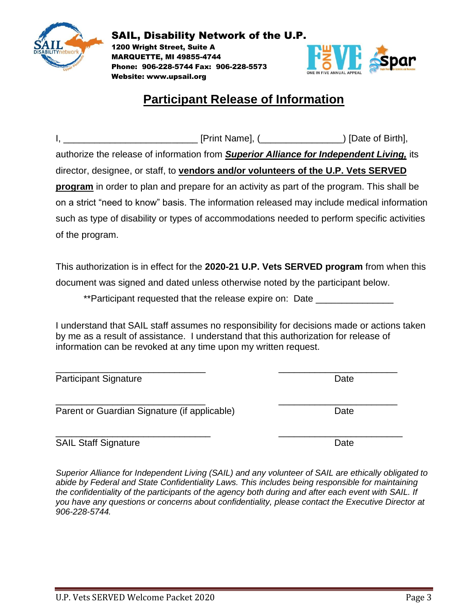

1200 Wright Street, Suite A MARQUETTE, MI 49855-4744 Phone: 906-228-5744 Fax: 906-228-5573 Website: www.upsail.org



# **Participant Release of Information**

| authorize the release of information from Superior Alliance for Independent Living, its    |                                                                                             |
|--------------------------------------------------------------------------------------------|---------------------------------------------------------------------------------------------|
| director, designee, or staff, to vendors and/or volunteers of the U.P. Vets SERVED         |                                                                                             |
| program in order to plan and prepare for an activity as part of the program. This shall be |                                                                                             |
|                                                                                            | on a strict "need to know" basis. The information released may include medical information  |
|                                                                                            | such as type of disability or types of accommodations needed to perform specific activities |
| of the program.                                                                            |                                                                                             |

This authorization is in effect for the **2020-21 U.P. Vets SERVED program** from when this document was signed and dated unless otherwise noted by the participant below.

\*\*Participant requested that the release expire on: Date

I understand that SAIL staff assumes no responsibility for decisions made or actions taken by me as a result of assistance. I understand that this authorization for release of information can be revoked at any time upon my written request.

\_\_\_\_\_\_\_\_\_\_\_\_\_\_\_\_\_\_\_\_\_\_\_\_\_\_\_\_\_ \_\_\_\_\_\_\_\_\_\_\_\_\_\_\_\_\_\_\_\_\_\_\_ Participant Signature Date Date

Parent or Guardian Signature (if applicable) Date

SAIL Staff Signature Date Date

*Superior Alliance for Independent Living (SAIL) and any volunteer of SAIL are ethically obligated to abide by Federal and State Confidentiality Laws. This includes being responsible for maintaining the confidentiality of the participants of the agency both during and after each event with SAIL. If you have any questions or concerns about confidentiality, please contact the Executive Director at 906-228-5744.* 

\_\_\_\_\_\_\_\_\_\_\_\_\_\_\_\_\_\_\_\_\_\_\_\_\_\_\_\_\_ \_\_\_\_\_\_\_\_\_\_\_\_\_\_\_\_\_\_\_\_\_\_\_

\_\_\_\_\_\_\_\_\_\_\_\_\_\_\_\_\_\_\_\_\_\_\_\_\_\_\_\_\_\_ \_\_\_\_\_\_\_\_\_\_\_\_\_\_\_\_\_\_\_\_\_\_\_\_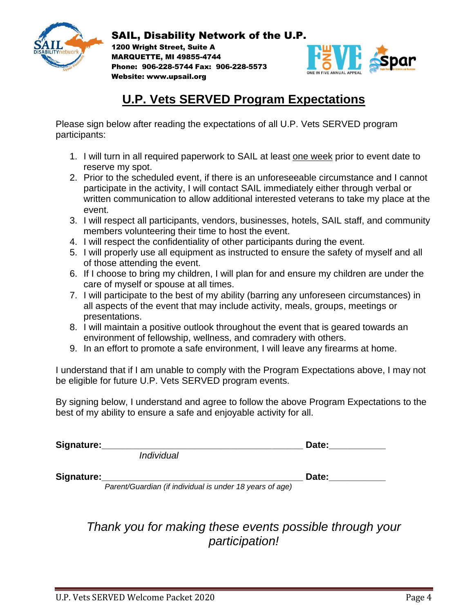

1200 Wright Street, Suite A MARQUETTE, MI 49855-4744 Phone: 906-228-5744 Fax: 906-228-5573 Website: www.upsail.org



# **U.P. Vets SERVED Program Expectations**

Please sign below after reading the expectations of all U.P. Vets SERVED program participants:

- 1. I will turn in all required paperwork to SAIL at least one week prior to event date to reserve my spot.
- 2. Prior to the scheduled event, if there is an unforeseeable circumstance and I cannot participate in the activity, I will contact SAIL immediately either through verbal or written communication to allow additional interested veterans to take my place at the event.
- 3. I will respect all participants, vendors, businesses, hotels, SAIL staff, and community members volunteering their time to host the event.
- 4. I will respect the confidentiality of other participants during the event.
- 5. I will properly use all equipment as instructed to ensure the safety of myself and all of those attending the event.
- 6. If I choose to bring my children, I will plan for and ensure my children are under the care of myself or spouse at all times.
- 7. I will participate to the best of my ability (barring any unforeseen circumstances) in all aspects of the event that may include activity, meals, groups, meetings or presentations.
- 8. I will maintain a positive outlook throughout the event that is geared towards an environment of fellowship, wellness, and comradery with others.
- 9. In an effort to promote a safe environment, I will leave any firearms at home.

I understand that if I am unable to comply with the Program Expectations above, I may not be eligible for future U.P. Vets SERVED program events.

By signing below, I understand and agree to follow the above Program Expectations to the best of my ability to ensure a safe and enjoyable activity for all.

| Signature: |                   | Date: |
|------------|-------------------|-------|
|            | <i>Individual</i> |       |

Signature: **Example 20 and 20 and 20 and 20 and 20 and 20 and 20 and 20 and 20 and 20 and 20 and 20 and 20 and 20 and 20 and 20 and 20 and 20 and 20 and 20 and 20 and 20 and 20 and 20 and 20 and 20 and 20 and 20 and 20 and** *Parent/Guardian (if individual is under 18 years of age)*

> *Thank you for making these events possible through your participation!*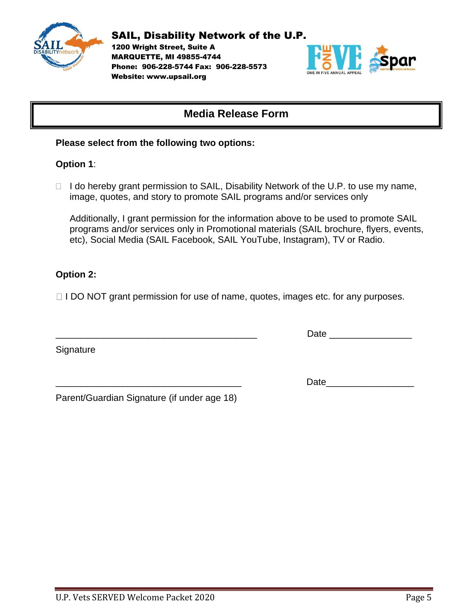

1200 Wright Street, Suite A MARQUETTE, MI 49855-4744 Phone: 906-228-5744 Fax: 906-228-5573 Website: www.upsail.org



### **Media Release Form**

#### **Please select from the following two options:**

#### **Option 1**:

 $\Box$  I do hereby grant permission to SAIL, Disability Network of the U.P. to use my name, image, quotes, and story to promote SAIL programs and/or services only

Additionally, I grant permission for the information above to be used to promote SAIL programs and/or services only in Promotional materials (SAIL brochure, flyers, events, etc), Social Media (SAIL Facebook, SAIL YouTube, Instagram), TV or Radio.

#### **Option 2:**

 $\Box$  I DO NOT grant permission for use of name, quotes, images etc. for any purposes.

**Signature** 

\_\_\_\_\_\_\_\_\_\_\_\_\_\_\_\_\_\_\_\_\_\_\_\_\_\_\_\_\_\_\_\_\_\_\_\_\_\_\_ Date \_\_\_\_\_\_\_\_\_\_\_\_\_\_\_\_

Date and the set of  $\overline{D}$ 

Parent/Guardian Signature (if under age 18)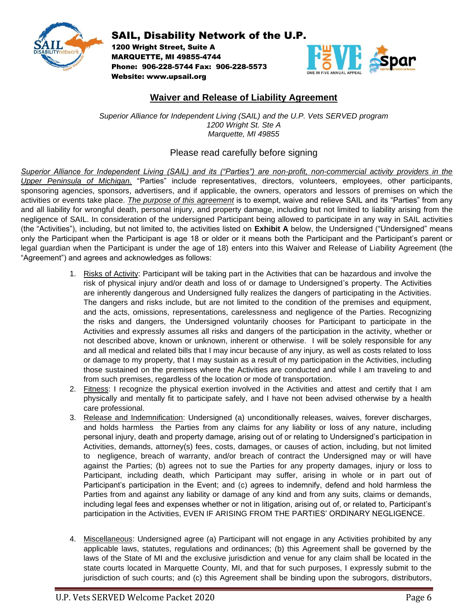

1200 Wright Street, Suite A MARQUETTE, MI 49855-4744 Phone: 906-228-5744 Fax: 906-228-5573 Website: www.upsail.org



#### **Waiver and Release of Liability Agreement**

*Superior Alliance for Independent Living (SAIL) and the U.P. Vets SERVED program 1200 Wright St. Ste A Marquette, MI 49855*

#### Please read carefully before signing

*Superior Alliance for Independent Living (SAIL) and its ("Parties") are non-profit, non-commercial activity providers in the Upper Peninsula of Michigan.* "Parties" include representatives, directors, volunteers, employees, other participants, sponsoring agencies, sponsors, advertisers, and if applicable, the owners, operators and lessors of premises on which the activities or events take place. *The purpose of this agreement* is to exempt, waive and relieve SAIL and its "Parties" from any and all liability for wrongful death, personal injury, and property damage, including but not limited to liability arising from the negligence of SAIL. In consideration of the undersigned Participant being allowed to participate in any way in SAIL activities (the "Activities"), including, but not limited to, the activities listed on **Exhibit A** below, the Undersigned ("Undersigned" means only the Participant when the Participant is age 18 or older or it means both the Participant and the Participant's parent or legal guardian when the Participant is under the age of 18) enters into this Waiver and Release of Liability Agreement (the "Agreement") and agrees and acknowledges as follows:

- 1. Risks of Activity: Participant will be taking part in the Activities that can be hazardous and involve the risk of physical injury and/or death and loss of or damage to Undersigned's property. The Activities are inherently dangerous and Undersigned fully realizes the dangers of participating in the Activities. The dangers and risks include, but are not limited to the condition of the premises and equipment, and the acts, omissions, representations, carelessness and negligence of the Parties. Recognizing the risks and dangers, the Undersigned voluntarily chooses for Participant to participate in the Activities and expressly assumes all risks and dangers of the participation in the activity, whether or not described above, known or unknown, inherent or otherwise. I will be solely responsible for any and all medical and related bills that I may incur because of any injury, as well as costs related to loss or damage to my property, that I may sustain as a result of my participation in the Activities, including those sustained on the premises where the Activities are conducted and while I am traveling to and from such premises, regardless of the location or mode of transportation.
- 2. Fitness: I recognize the physical exertion involved in the Activities and attest and certify that I am physically and mentally fit to participate safely, and I have not been advised otherwise by a health care professional.
- 3. Release and Indemnification: Undersigned (a) unconditionally releases, waives, forever discharges, and holds harmless the Parties from any claims for any liability or loss of any nature, including personal injury, death and property damage, arising out of or relating to Undersigned's participation in Activities, demands, attorney(s) fees, costs, damages, or causes of action, including, but not limited to negligence, breach of warranty, and/or breach of contract the Undersigned may or will have against the Parties; (b) agrees not to sue the Parties for any property damages, injury or loss to Participant, including death, which Participant may suffer, arising in whole or in part out of Participant's participation in the Event; and (c) agrees to indemnify, defend and hold harmless the Parties from and against any liability or damage of any kind and from any suits, claims or demands, including legal fees and expenses whether or not in litigation, arising out of, or related to, Participant's participation in the Activities, EVEN IF ARISING FROM THE PARTIES' ORDINARY NEGLIGENCE.
- 4. Miscellaneous: Undersigned agree (a) Participant will not engage in any Activities prohibited by any applicable laws, statutes, regulations and ordinances; (b) this Agreement shall be governed by the laws of the State of MI and the exclusive jurisdiction and venue for any claim shall be located in the state courts located in Marquette County, MI, and that for such purposes, I expressly submit to the jurisdiction of such courts; and (c) this Agreement shall be binding upon the subrogors, distributors,